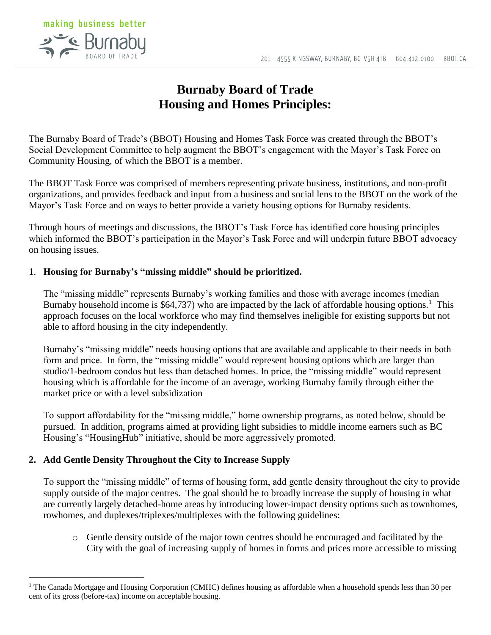

# **Burnaby Board of Trade Housing and Homes Principles:**

The Burnaby Board of Trade's (BBOT) Housing and Homes Task Force was created through the BBOT's Social Development Committee to help augment the BBOT's engagement with the Mayor's Task Force on Community Housing, of which the BBOT is a member.

The BBOT Task Force was comprised of members representing private business, institutions, and non-profit organizations, and provides feedback and input from a business and social lens to the BBOT on the work of the Mayor's Task Force and on ways to better provide a variety housing options for Burnaby residents.

Through hours of meetings and discussions, the BBOT's Task Force has identified core housing principles which informed the BBOT's participation in the Mayor's Task Force and will underpin future BBOT advocacy on housing issues.

## 1. **Housing for Burnaby's "missing middle" should be prioritized.**

The "missing middle" represents Burnaby's working families and those with average incomes (median Burnaby household income is \$64,737) who are impacted by the lack of affordable housing options.<sup>1</sup> This approach focuses on the local workforce who may find themselves ineligible for existing supports but not able to afford housing in the city independently.

Burnaby's "missing middle" needs housing options that are available and applicable to their needs in both form and price. In form, the "missing middle" would represent housing options which are larger than studio/1-bedroom condos but less than detached homes. In price, the "missing middle" would represent housing which is affordable for the income of an average, working Burnaby family through either the market price or with a level subsidization

To support affordability for the "missing middle," home ownership programs, as noted below, should be pursued. In addition, programs aimed at providing light subsidies to middle income earners such as BC Housing's "HousingHub" initiative, should be more aggressively promoted.

# **2. Add Gentle Density Throughout the City to Increase Supply**

 $\overline{a}$ 

To support the "missing middle" of terms of housing form, add gentle density throughout the city to provide supply outside of the major centres. The goal should be to broadly increase the supply of housing in what are currently largely detached-home areas by introducing lower-impact density options such as townhomes, rowhomes, and duplexes/triplexes/multiplexes with the following guidelines:

o Gentle density outside of the major town centres should be encouraged and facilitated by the City with the goal of increasing supply of homes in forms and prices more accessible to missing

<sup>&</sup>lt;sup>1</sup> The Canada Mortgage and Housing Corporation (CMHC) defines housing as affordable when a household spends less than 30 per cent of its gross (before-tax) income on acceptable housing.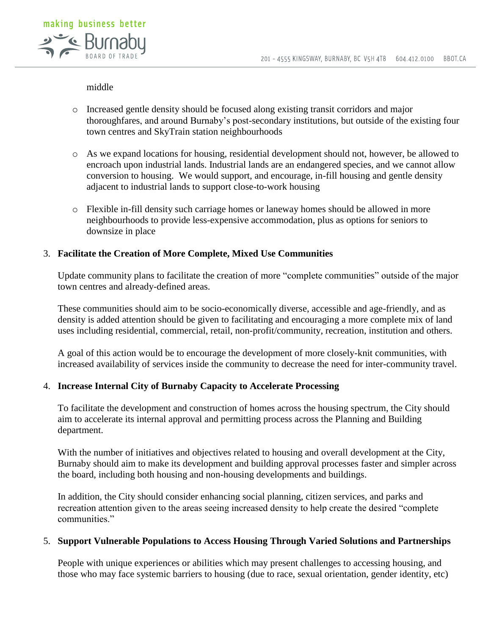

#### middle

- o Increased gentle density should be focused along existing transit corridors and major thoroughfares, and around Burnaby's post-secondary institutions, but outside of the existing four town centres and SkyTrain station neighbourhoods
- o As we expand locations for housing, residential development should not, however, be allowed to encroach upon industrial lands. Industrial lands are an endangered species, and we cannot allow conversion to housing. We would support, and encourage, in-fill housing and gentle density adjacent to industrial lands to support close-to-work housing
- o Flexible in-fill density such carriage homes or laneway homes should be allowed in more neighbourhoods to provide less-expensive accommodation, plus as options for seniors to downsize in place

#### 3. **Facilitate the Creation of More Complete, Mixed Use Communities**

Update community plans to facilitate the creation of more "complete communities" outside of the major town centres and already-defined areas.

These communities should aim to be socio-economically diverse, accessible and age-friendly, and as density is added attention should be given to facilitating and encouraging a more complete mix of land uses including residential, commercial, retail, non-profit/community, recreation, institution and others.

A goal of this action would be to encourage the development of more closely-knit communities, with increased availability of services inside the community to decrease the need for inter-community travel.

#### 4. **Increase Internal City of Burnaby Capacity to Accelerate Processing**

To facilitate the development and construction of homes across the housing spectrum, the City should aim to accelerate its internal approval and permitting process across the Planning and Building department.

With the number of initiatives and objectives related to housing and overall development at the City, Burnaby should aim to make its development and building approval processes faster and simpler across the board, including both housing and non-housing developments and buildings.

In addition, the City should consider enhancing social planning, citizen services, and parks and recreation attention given to the areas seeing increased density to help create the desired "complete communities."

#### 5. **Support Vulnerable Populations to Access Housing Through Varied Solutions and Partnerships**

People with unique experiences or abilities which may present challenges to accessing housing, and those who may face systemic barriers to housing (due to race, sexual orientation, gender identity, etc)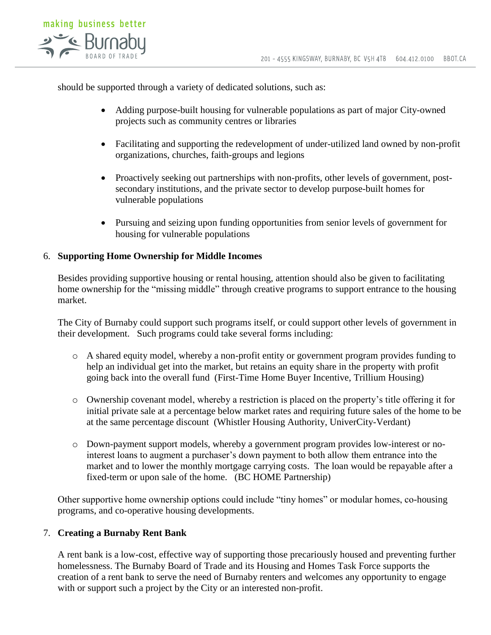

should be supported through a variety of dedicated solutions, such as:

- Adding purpose-built housing for vulnerable populations as part of major City-owned projects such as community centres or libraries
- Facilitating and supporting the redevelopment of under-utilized land owned by non-profit organizations, churches, faith-groups and legions
- Proactively seeking out partnerships with non-profits, other levels of government, postsecondary institutions, and the private sector to develop purpose-built homes for vulnerable populations
- Pursuing and seizing upon funding opportunities from senior levels of government for housing for vulnerable populations

## 6. **Supporting Home Ownership for Middle Incomes**

Besides providing supportive housing or rental housing, attention should also be given to facilitating home ownership for the "missing middle" through creative programs to support entrance to the housing market.

The City of Burnaby could support such programs itself, or could support other levels of government in their development. Such programs could take several forms including:

- o A shared equity model, whereby a non-profit entity or government program provides funding to help an individual get into the market, but retains an equity share in the property with profit going back into the overall fund (First-Time Home Buyer Incentive, Trillium Housing)
- o Ownership covenant model, whereby a restriction is placed on the property's title offering it for initial private sale at a percentage below market rates and requiring future sales of the home to be at the same percentage discount (Whistler Housing Authority, UniverCity-Verdant)
- o Down-payment support models, whereby a government program provides low-interest or nointerest loans to augment a purchaser's down payment to both allow them entrance into the market and to lower the monthly mortgage carrying costs. The loan would be repayable after a fixed-term or upon sale of the home. (BC HOME Partnership)

Other supportive home ownership options could include "tiny homes" or modular homes, co-housing programs, and co-operative housing developments.

#### 7. **Creating a Burnaby Rent Bank**

A rent bank is a low-cost, effective way of supporting those precariously housed and preventing further homelessness. The Burnaby Board of Trade and its Housing and Homes Task Force supports the creation of a rent bank to serve the need of Burnaby renters and welcomes any opportunity to engage with or support such a project by the City or an interested non-profit.